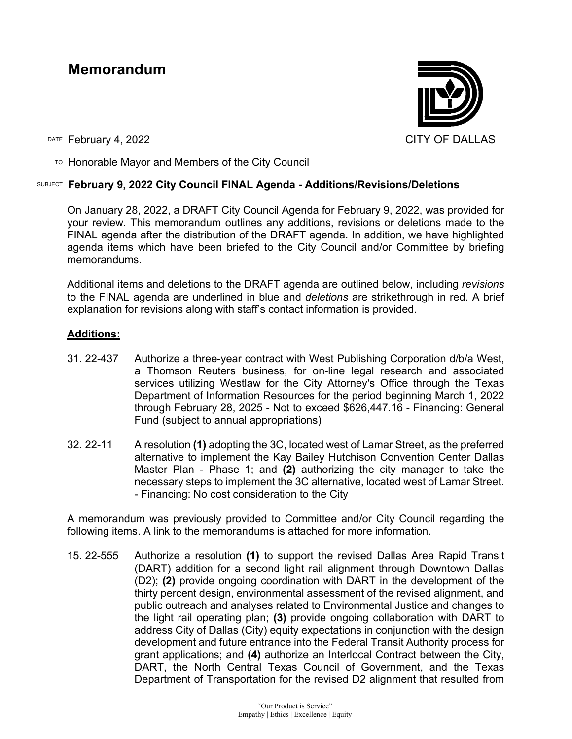# **Memorandum**



DATE February 4, 2022 CITY OF DALLAS

TO Honorable Mayor and Members of the City Council

### SUBJECT **February 9, 2022 City Council FINAL Agenda - Additions/Revisions/Deletions**

On January 28, 2022, a DRAFT City Council Agenda for February 9, 2022, was provided for your review. This memorandum outlines any additions, revisions or deletions made to the FINAL agenda after the distribution of the DRAFT agenda. In addition, we have highlighted agenda items which have been briefed to the City Council and/or Committee by briefing memorandums.

Additional items and deletions to the DRAFT agenda are outlined below, including *revisions* to the FINAL agenda are underlined in blue and *deletions* are strikethrough in red. A brief explanation for revisions along with staff's contact information is provided.

## **Additions:**

- 31. 22-437 Authorize a three-year contract with West Publishing Corporation d/b/a West, a Thomson Reuters business, for on-line legal research and associated services utilizing Westlaw for the City Attorney's Office through the Texas Department of Information Resources for the period beginning March 1, 2022 through February 28, 2025 - Not to exceed \$626,447.16 - Financing: General Fund (subject to annual appropriations)
- 32. 22-11 A resolution **(1)** adopting the 3C, located west of Lamar Street, as the preferred alternative to implement the Kay Bailey Hutchison Convention Center Dallas Master Plan - Phase 1; and **(2)** authorizing the city manager to take the necessary steps to implement the 3C alternative, located west of Lamar Street. - Financing: No cost consideration to the City

A memorandum was previously provided to Committee and/or City Council regarding the following items. A link to the memorandums is attached for more information.

15. 22-555 Authorize a resolution **(1)** to support the revised Dallas Area Rapid Transit (DART) addition for a second light rail alignment through Downtown Dallas (D2); **(2)** provide ongoing coordination with DART in the development of the thirty percent design, environmental assessment of the revised alignment, and public outreach and analyses related to Environmental Justice and changes to the light rail operating plan; **(3)** provide ongoing collaboration with DART to address City of Dallas (City) equity expectations in conjunction with the design development and future entrance into the Federal Transit Authority process for grant applications; and **(4)** authorize an Interlocal Contract between the City, DART, the North Central Texas Council of Government, and the Texas Department of Transportation for the revised D2 alignment that resulted from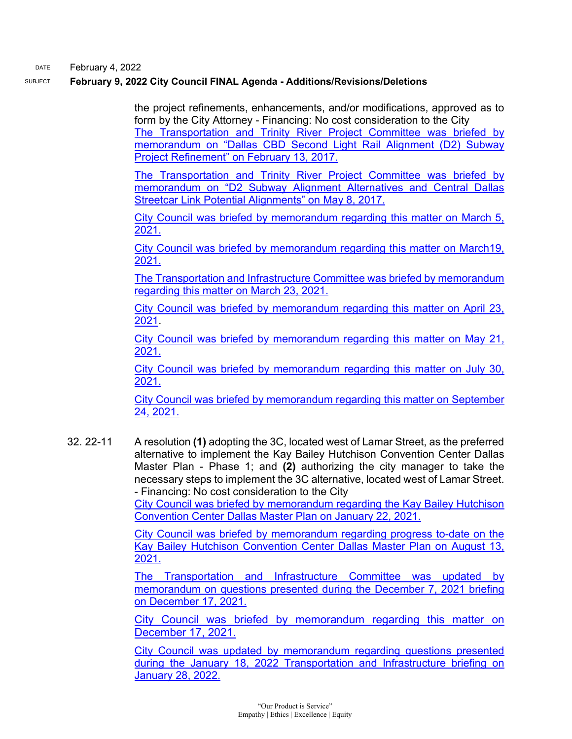DATE February 4, 2022

### SUBJECT **February 9, 2022 City Council FINAL Agenda - Additions/Revisions/Deletions**

the project refinements, enhancements, and/or modifications, approved as to form by the City Attorney - Financing: No cost consideration to the City [The Transportation and Trinity River Project Committee was briefed by](https://dallascityhall.com/government/Council%20Meeting%20Documents/ttrp_2_cbd-second-light-rail-alignment-(d2)-subway-project-refinment_combined_021317.pdf)  [memorandum on "Dallas CBD Second Light Rail Alignment \(D2\) Subway](https://dallascityhall.com/government/Council%20Meeting%20Documents/ttrp_2_cbd-second-light-rail-alignment-(d2)-subway-project-refinment_combined_021317.pdf)  [Project Refinement" on February 13, 2017.](https://dallascityhall.com/government/Council%20Meeting%20Documents/ttrp_2_cbd-second-light-rail-alignment-(d2)-subway-project-refinment_combined_021317.pdf)

[The Transportation and Trinity River Project Committee was briefed by](https://dallascityhall.com/government/Council%20Meeting%20Documents/ttrp_3_d2-subway-alignment-alternatives-and-central-dallas-streetcar-link-potetial-alignments_combined_050817.pdf)  [memorandum on "D2 Subway Alignment Alternatives and Central Dallas](https://dallascityhall.com/government/Council%20Meeting%20Documents/ttrp_3_d2-subway-alignment-alternatives-and-central-dallas-streetcar-link-potetial-alignments_combined_050817.pdf)  [Streetcar Link Potential Alignments" on May 8, 2017.](https://dallascityhall.com/government/Council%20Meeting%20Documents/ttrp_3_d2-subway-alignment-alternatives-and-central-dallas-streetcar-link-potetial-alignments_combined_050817.pdf)

[City Council was briefed by memorandum regarding this matter on March 5,](https://dallascityhall.com/government/citymanager/Documents/FY%2020-21%20Memos/DART-D2-Alignment-and-Resolution-Updates_memo_030521.pdf)  [2021.](https://dallascityhall.com/government/citymanager/Documents/FY%2020-21%20Memos/DART-D2-Alignment-and-Resolution-Updates_memo_030521.pdf)

[City Council was briefed by memorandum regarding this matter on March19,](https://dallascityhall.com/government/citymanager/Documents/FY%2020-21%20Memos/March-24-2021-City-Council-Agenda-Item-D2-Resolution_Memo_031921.pdf)  [2021.](https://dallascityhall.com/government/citymanager/Documents/FY%2020-21%20Memos/March-24-2021-City-Council-Agenda-Item-D2-Resolution_Memo_031921.pdf)

[The Transportation and Infrastructure Committee was briefed by memorandum](https://cityofdallas.legistar.com/LegislationDetail.aspx?ID=4859413&GUID=28AE720C-147A-4E43-AE5F-323A93E9CF41&Options=&Search=)  [regarding this matter on March 23, 2021.](https://cityofdallas.legistar.com/LegislationDetail.aspx?ID=4859413&GUID=28AE720C-147A-4E43-AE5F-323A93E9CF41&Options=&Search=)

[City Council was briefed by memorandum regarding this matter on April 23,](https://dallascityhall.com/government/citymanager/Documents/FY%2020-21%20Memos/D2-Eastern-End-Alignment-Zone-B-Progress-Update-1_memo_042321.pdf)  [2021.](https://dallascityhall.com/government/citymanager/Documents/FY%2020-21%20Memos/D2-Eastern-End-Alignment-Zone-B-Progress-Update-1_memo_042321.pdf)

[City Council was briefed by memorandum regarding this matter on May 21,](https://dallascityhall.com/government/citymanager/Documents/FY%2020-21%20Memos/D2-Eastern-End-Alignment-Zone-B-Progress-Update-2_memo_052121.pdf)  [2021.](https://dallascityhall.com/government/citymanager/Documents/FY%2020-21%20Memos/D2-Eastern-End-Alignment-Zone-B-Progress-Update-2_memo_052121.pdf)

[City Council was briefed by memorandum regarding this matter on July 30,](https://dallascityhall.com/government/citymanager/Documents/FY%2020-21%20Memos/7_D2-Eastern-End-Alignment-Zone-B-Progress-Update-3_Memo_073021.pdf)  [2021.](https://dallascityhall.com/government/citymanager/Documents/FY%2020-21%20Memos/7_D2-Eastern-End-Alignment-Zone-B-Progress-Update-3_Memo_073021.pdf)

[City Council was briefed by memorandum regarding this matter on September](https://dallascityhall.com/government/citymanager/Documents/FY%2020-21%20Memos/D2%20Eastern%20End%20AlignmentZone%20B%20Progress%20Update%204_09242021.pdf)  [24, 2021.](https://dallascityhall.com/government/citymanager/Documents/FY%2020-21%20Memos/D2%20Eastern%20End%20AlignmentZone%20B%20Progress%20Update%204_09242021.pdf)

32. 22-11 A resolution **(1)** adopting the 3C, located west of Lamar Street, as the preferred alternative to implement the Kay Bailey Hutchison Convention Center Dallas Master Plan - Phase 1; and **(2)** authorizing the city manager to take the necessary steps to implement the 3C alternative, located west of Lamar Street. - Financing: No cost consideration to the City

> [City Council was briefed by memorandum regarding the Kay Bailey Hutchison](https://dallascityhall.com/government/citymanager/Documents/FY%2020-21%20Memos/Kay%20Bailey%20Hutchison%20Convention%20Center%20Master%20Plan%20update%20-%20Memo_01222021.pdf)  [Convention Center Dallas Master Plan on January 22, 2021.](https://dallascityhall.com/government/citymanager/Documents/FY%2020-21%20Memos/Kay%20Bailey%20Hutchison%20Convention%20Center%20Master%20Plan%20update%20-%20Memo_01222021.pdf)

> [City Council was briefed by memorandum regarding progress to-date on the](https://dallascityhall.com/government/citymanager/Documents/FY%2020-21%20Memos/KBHCCD%20Master%20Plan%20Contract%20Update_Memo_08132021.pdf)  [Kay Bailey Hutchison Convention Center Dallas Master Plan on August 13,](https://dallascityhall.com/government/citymanager/Documents/FY%2020-21%20Memos/KBHCCD%20Master%20Plan%20Contract%20Update_Memo_08132021.pdf)  [2021.](https://dallascityhall.com/government/citymanager/Documents/FY%2020-21%20Memos/KBHCCD%20Master%20Plan%20Contract%20Update_Memo_08132021.pdf)

> [The Transportation and Infrastructure Committee was updated by](https://dallascityhall.com/government/citymanager/Documents/FY%2021-22%20Memos/KBHCCD%20Master%20Plan_Memo_12172021.pdf)  [memorandum on questions presented during the December 7, 2021 briefing](https://dallascityhall.com/government/citymanager/Documents/FY%2021-22%20Memos/KBHCCD%20Master%20Plan_Memo_12172021.pdf)  [on December 17, 2021.](https://dallascityhall.com/government/citymanager/Documents/FY%2021-22%20Memos/KBHCCD%20Master%20Plan_Memo_12172021.pdf)

> [City Council was briefed by memorandum regarding this matter on](https://dallascityhall.com/government/citymanager/Documents/FY%2021-22%20Memos/KBHCCD%20Master%20Plan_Memo_12172021.pdf)  [December 17, 2021.](https://dallascityhall.com/government/citymanager/Documents/FY%2021-22%20Memos/KBHCCD%20Master%20Plan_Memo_12172021.pdf)

> [City Council was updated by memorandum regarding questions presented](https://dallascityhall.com/government/citymanager/Documents/FY%2021-22%20Memos/KBHCCD%20Master%20Plan%20Update%20Memo%20-%20Follow-Up%20to%20TRNI%20Committee.pdf)  [during the January 18, 2022 Transportation and Infrastructure briefing on](https://dallascityhall.com/government/citymanager/Documents/FY%2021-22%20Memos/KBHCCD%20Master%20Plan%20Update%20Memo%20-%20Follow-Up%20to%20TRNI%20Committee.pdf)  [January 28, 2022.](https://dallascityhall.com/government/citymanager/Documents/FY%2021-22%20Memos/KBHCCD%20Master%20Plan%20Update%20Memo%20-%20Follow-Up%20to%20TRNI%20Committee.pdf)